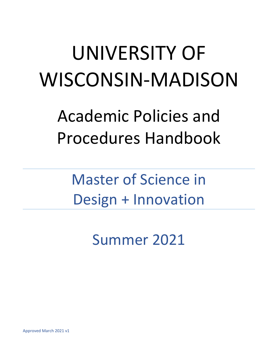# UNIVERSITY OF WISCONSIN-MADISON

Academic Policies and Procedures Handbook

Master of Science in Design + Innovation

Summer 2021

Approved March 2021 v1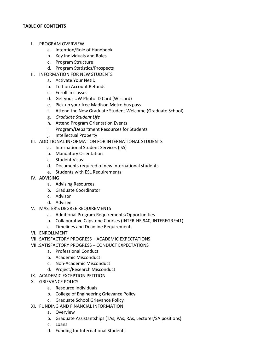## **TABLE OF CONTENTS**

- I. PROGRAM OVERVIEW
	- a. Intention/Role of Handbook
	- b. Key Individuals and Roles
	- c. Program Structure
	- d. Program Statistics/Prospects
- II. INFORMATION FOR NEW STUDENTS
	- a. Activate Your NetID
	- b. Tuition Account Refunds
	- c. Enroll in classes
	- d. Get your UW Photo ID Card (Wiscard)
	- e. Pick up your free Madison Metro bus pass
	- f. Attend the New Graduate Student Welcome (Graduate School)
	- g. *Graduate Student Life*
	- h. Attend Program Orientation Events
	- i. Program/Department Resources for Students
	- j. Intellectual Property
- III. ADDITIONAL INFORMATION FOR INTERNATIONAL STUDENTS
	- a. International Student Services (ISS)
	- b. Mandatory Orientation
	- c. Student Visas
	- d. Documents required of new international students
	- e. Students with ESL Requirements
- IV. ADVISING
	- a. Advising Resources
	- b. Graduate Coordinator
	- c. Advisor
	- d. Advisee
- V. MASTER'S DEGREE REQUIREMENTS
	- a. Additional Program Requirements/Opportunities
	- b. Collaborative Capstone Courses (INTER-HE 940, INTEREGR 941)
	- c. Timelines and Deadline Requirements
- VI. ENROLLMENT
- VII. SATISFACTORY PROGRESS ACADEMIC EXPECTATIONS
- VIII.SATISFACTORY PROGRESS CONDUCT EXPECTATIONS
	- a. Professional Conduct
	- b. Academic Misconduct
	- c. Non-Academic Misconduct
	- d. Project/Research Misconduct
- IX. ACADEMIC EXCEPTION PETITION
- X. GRIEVANCE POLICY
	- a. Resource Individuals
	- b. College of Engineering Grievance Policy
	- c. Graduate School Grievance Policy
- XI. FUNDING AND FINANCIAL INFORMATION
	- a. Overview
	- b. Graduate Assistantships (TAs, PAs, RAs, Lecturer/SA positions)
	- c. Loans
	- d. Funding for International Students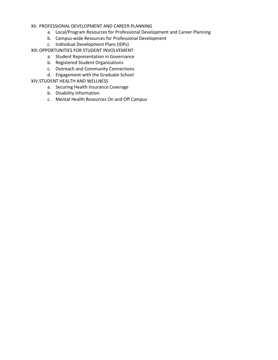## XII. PROFESSIONAL DEVELOPMENT AND CAREER PLANNING

- a. Local/Program Resources for Professional Development and Career Planning
- b. Campus-wide Resources for Professional Development
- c. Individual Development Plans (IDPs)
- XIII.OPPORTUNITIES FOR STUDENT INVOLVEMENT
	- a. Student Representation in Governance
	- b. Registered Student Organizations
	- c. Outreach and Community Connections
	- d. Engagement with the Graduate School

## XIV.STUDENT HEALTH AND WELLNESS

- a. Securing Health Insurance Coverage
- b. Disability Information
- c. Mental Health Resources On and Off Campus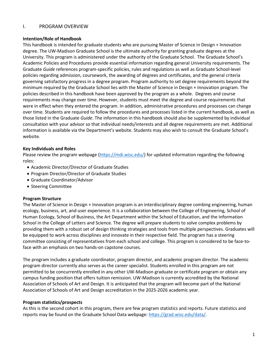# I. PROGRAM OVERVIEW

## **Intention/Role of Handbook**

This handbook is intended for graduate students who are pursuing Master of Science in Design + Innovation degree. The UW-Madison Graduate School is the ultimate authority for granting graduate degrees at the University. This program is administered under the authority of the Graduate School. The Graduate School's Academic Policies and Procedures provide essential information regarding general University requirements. The Graduate *Guide* references program-specific policies, rules and regulations as well as Graduate School-level policies regarding admission, coursework, the awarding of degrees and certificates, and the general criteria governing satisfactory progress in a degree program. Program authority to set degree requirements beyond the minimum required by the Graduate School lies with the Master of Science in Design + Innovation program. The policies described in this handbook have been approved by the program as a whole. Degrees and course requirements may change over time. However, students must meet the degree and course requirements that were in effect when they entered the program. In addition, administrative procedures and processes can change over time. Students are required to follow the procedures and processes listed in the current handbook, as well as those listed in the Graduate *Guide*. The information in this handbook should also be supplemented by individual consultation with your advisor so that individual needs/interests and all degree requirements are met. Additional information is available via the Department's website. Students may also wish to consult the Graduate School's website.

## **Key Individuals and Roles**

Please review the program webpage [\(https://mdi.wisc.edu/\)](https://mdi.wisc.edu/) for updated information regarding the following roles:

- Academic Director/Director of Graduate Studies
- Program Director/Director of Graduate Studies
- Graduate Coordinator/Advisor
- Steering Committee

#### **Program Structure**

The Master of Science in Design + Innovation program is an interdisciplinary degree combing engineering, human ecology, business, art, and user experience. It is a collaboration between the College of Engineering, School of Human Ecology, School of Business, the Art Department within the School of Education, and the Information School in the College of Letters and Science. The degree will prepare students to solve complex problems by providing them with a robust set of design thinking strategies and tools from multiple perspectives. Graduates will be equipped to work across disciplines and innovate in their respective field. The program has a steering committee consisting of representatives from each school and college. This program is considered to be face-toface with an emphasis on two hands-on capstone courses.

The program includes a graduate coordinator, program director, and academic program director. The academic program director currently also serves as the career specialist. Students enrolled in this program are not permitted to be concurrently enrolled in any other UW-Madison graduate or certificate program or obtain any campus funding position that offers tuition remission. UW-Madison is currently accredited by the National Association of Schools of Art and Design. It is anticipated that the program will become part of the National Association of Schools of Art and Design accreditation in the 2025-2026 academic year.

#### **Program statistics/prospects**

As this is the second cohort in this program, there are few program statistics and reports. Future statistics and reports may be found on the Graduate School Data webpage[: https://grad.wisc.edu/data/.](https://grad.wisc.edu/data/)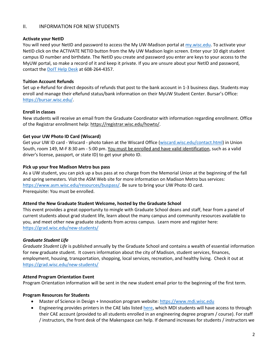# II. INFORMATION FOR NEW STUDENTS

#### **Activate your NetID**

You will need your NetID and password to access the My UW-Madison portal at [my.wisc.edu.](http://my.wisc.edu/) To activate your NetID click on the ACTIVATE NETID button from the My UW Madison login screen. Enter your 10 digit student campus ID number and birthdate. The NetID you create and password you enter are keys to your access to the MyUW portal, so make a record of it and keep it private. If you are unsure about your NetID and password, contact the [DoIT Help Desk](https://kb.wisc.edu/helpdesk/) at 608-264-4357.

## **Tuition Account Refunds**

Set up e-Refund for direct deposits of refunds that post to the bank account in 1-3 business days. Students may enroll and manage their eRefund status/bank information on their MyUW Student Center. Bursar's Office: [https://bursar.wisc.edu/.](https://bursar.wisc.edu/)

#### **Enroll in classes**

New students will receive an email from the Graduate Coordinator with information regarding enrollment. Office of the Registrar enrollment help: [https://registrar.wisc.edu/howto/.](https://registrar.wisc.edu/howto/)

## **Get your UW Photo ID Card (Wiscard)**

Get your UW ID card - Wiscard - photo taken at the Wiscard Office [\(wiscard.wisc.edu/contact.html\)](http://www.wiscard.wisc.edu/contact.html) in Union South, room 149, M-F 8:30 am - 5:00 pm. You must be enrolled and have valid identification, such as a valid driver's license, passport, or state ID) to get your photo ID.

#### **Pick up your free Madison Metro bus pass**

As a UW student, you can pick up a bus pass at no charge from the Memorial Union at the beginning of the fall and spring semesters. Visit the ASM Web site for more information on Madison Metro bus services: [https://www.asm.wisc.edu/resources/buspass/.](https://www.asm.wisc.edu/resources/buspass/) Be sure to bring your UW Photo ID card. Prerequisite: You must be enrolled.

#### **Attend the New Graduate Student Welcome, hosted by the Graduate School**

This event provides a great opportunity to mingle with Graduate School deans and staff, hear from a panel of current students about grad student life, learn about the many campus and community resources available to you, and meet other new graduate students from across campus. Learn more and register here: <https://grad.wisc.edu/new-students/>

#### *Graduate Student Life*

*Graduate Student Life* is published annually by the Graduate School and contains a wealth of essential information for new graduate student. It covers information about the city of Madison, student services, finances, employment, housing, transportation, shopping, local services, recreation, and healthy living. Check it out at <https://grad.wisc.edu/new-students/>

#### **Attend Program Orientation Event**

Program Orientation information will be sent in the new student email prior to the beginning of the first term.

# **Program Resources for Students**

- Master of Science in Design + Innovation program website: https://www.mdi.wisc.edu
- Engineering provides printers in the CAE labs listed [here,](https://www.cae.wisc.edu/labs/) which MDI students will have access to through their CAE account (provided to all students enrolled in an engineering degree program / course). For staff / instructors, the front desk of the Makerspace can help. If demand increases for students / instructors we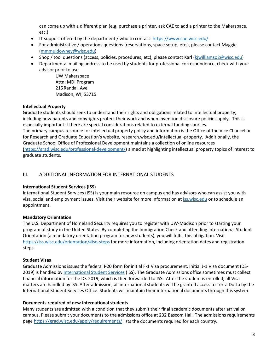can come up with a different plan (e.g. purchase a printer, ask CAE to add a printer to the Makerspace, etc.)

- IT support offered by the department / who to contact:<https://www.cae.wisc.edu/>
- For administrative / operations questions (reservations, space setup, etc.), please contact Maggie [\(mmmuldowney@wisc.edu\)](mailto:mmmuldowney@wisc.edu)
- Shop / tool questions (access, policies, procedures, etc), please contact Karl [\(kjwilliamso2@wisc.edu\)](mailto:kjwilliamso2@wisc.edu)
- Departmental mailing address to be used by students for professional correspondence, check with your advisor prior to use

UW Makerspace Attn: MDI Program 215Randall Ave Madison, WI, 53715

## **Intellectual Property**

Graduate students should seek to understand their rights and obligations related to intellectual property, including how patents and copyrights protect their work and when invention disclosure policies apply. This is especially important if there are special considerations related to external funding sources. The primary campus resource for intellectual property policy and information is the Office of the Vice Chancellor for Research and Graduate Education's website[, research.wisc.edu/intellectual-property.](https://research.wisc.edu/intellectual-property/) Additionally, the Graduate School Office of Professional Development maintains a collection of online resources [\(https://grad.wisc.edu/professional-development/\)](https://grad.wisc.edu/professional-development/) aimed at highlighting intellectual property topics of interest to graduate students.

## III. ADDITIONAL INFORMATION FOR INTERNATIONAL STUDENTS

#### **International Student Services (ISS)**

International Student Services (ISS) is your main resource on campus and has advisors who can assist you with visa, social and employment issues. Visit their website for more information at [iss.wisc.edu](http://www.iss.wisc.edu/) or to schedule an appointment.

# **Mandatory Orientation**

The U.S. Department of Homeland Security requires you to register with UW-Madison prior to starting your program of study in the United States. By completing the Immigration Check and attending International Student Orientation (a mandatory orientation program for new students), you will fulfill this obligation. Visit <https://iss.wisc.edu/orientation/#iso-steps> for more information, including orientation dates and registration steps.

#### **Student Visas**

Graduate Admissions issues the federal I-20 form for initial F-1 Visa procurement. Initial J-1 Visa document (DS-2019) is handled by [International Student Services](http://iss.wisc.edu/) (ISS). The Graduate Admissions office sometimes must collect financial information for the DS-2019, which is then forwarded to ISS. After the student is enrolled, all Visa matters are handled by ISS. After admission, all international students will be granted access to Terra Dotta by the International Student Services Office. Students will maintain their international documents through this system.

#### **Documents required of new international students**

Many students are admitted with a condition that they submit their final academic documents after arrival on campus. Please submit your documents to the admissions office at 232 Bascom Hall. The admissions requirements pag[e https://grad.wisc.edu/apply/requirements/](https://grad.wisc.edu/apply/requirements/) lists the documents required for each country.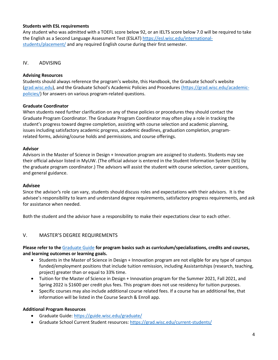## **Students with ESL requirements**

Any student who was admitted with a TOEFL score below 92, or an IELTS score below 7.0 will be required to take the English as a Second Language Assessment Test (ESLAT) [https://esl.wisc.edu/international](https://esl.wisc.edu/international-students/placement/)[students/placement/](https://esl.wisc.edu/international-students/placement/) and any required English course during their first semester.

# IV. ADVISING

## **Advising Resources**

Students should always reference the program's website, this Handbook, the Graduate School's website [\(grad.wisc.edu\)](file://GRAD-DATA.AD.WISC.EDU/GRAD/Shared/Education/Academic%20Planning/Handbook/www.grad.wisc.edu), and the Graduate School's Academic Policies and Procedures [\(https://grad.wisc.edu/academic](https://grad.wisc.edu/academic-policies/)[policies/\)](https://grad.wisc.edu/academic-policies/) for answers on various program-related questions.

## **Graduate Coordinator**

When students need further clarification on any of these policies or procedures they should contact the Graduate Program Coordinator. The Graduate Program Coordinator may often play a role in tracking the student's progress toward degree completion, assisting with course selection and academic planning, issues including satisfactory academic progress, academic deadlines, graduation completion, programrelated forms, advising/course holds and permissions, and course offerings.

#### **Advisor**

Advisors in the Master of Science in Design + Innovation program are assigned to students. Students may see their official advisor listed in MyUW. (The official advisor is entered in the Student Information System (SIS) by the graduate program coordinator.) The advisors will assist the student with course selection, career questions, and general guidance.

#### **Advisee**

Since the advisor's role can vary, students should discuss roles and expectations with their advisors. It is the advisee's responsibility to learn and understand degree requirements, satisfactory progress requirements, and ask for assistance when needed.

Both the student and the advisor have a responsibility to make their expectations clear to each other.

# V. MASTER'S DEGREE REQUIREMENTS

## **Please refer to the** [Graduate Guide](http://guide.wisc.edu/graduate/) **for program basics such as curriculum/specializations, credits and courses, and learning outcomes or learning goals.**

- Students in the Master of Science in Design + Innovation program are not eligible for any type of campus funded/employment positions that include tuition remission, including Assistantships (research, teaching, project) greater than or equal to 33% time.
- Tuition for the Master of Science in Design + Innovation program for the Summer 2021, Fall 2021, and Spring 2022 is \$1600 per credit plus fees. This program does not use residency for tuition purposes.
- Specific courses may also include additional course related fees. If a course has an additional fee, that information will be listed in the Course Search & Enroll app.

#### **Additional Program Resources**

- Graduate Guide:<https://guide.wisc.edu/graduate/>
- Graduate School Current Student resources:<https://grad.wisc.edu/current-students/>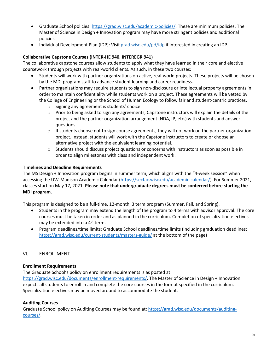- Graduate School policies: [https://grad.wisc.edu/academic-policies/.](https://grad.wisc.edu/academic-policies/) These are minimum policies. The Master of Science in Design + Innovation program may have more stringent policies and additional policies.
- Individual Development Plan (IDP): Visit [grad.wisc.edu/pd/idp](https://grad.wisc.edu/professional-development/individual-development-plan/) if interested in creating an IDP.

## **Collaborative Capstone Courses (INTER-HE 940, INTEREGR 941)**

The collaborative capstone courses allow students to apply what they have learned in their core and elective coursework through projects with real-world clients. As such, in these two courses:

- Students will work with partner organizations on active, real-world projects. These projects will be chosen by the MDI program staff to advance student learning and career readiness.
- Partner organizations may require students to sign non-disclosure or intellectual property agreements in order to maintain confidentiality while students work on a project. These agreements will be vetted by the College of Engineering or the School of Human Ecology to follow fair and student-centric practices.
	- o Signing any agreement is students' choice.
	- o Prior to being asked to sign any agreements, Capstone instructors will explain the details of the project and the partner organization arrangement (NDA, IP, etc.) with students and answer questions.
	- $\circ$  If students choose not to sign course agreements, they will not work on the partner organization project. Instead, students will work with the Capstone instructors to create or choose an alternative project with the equivalent learning potential.
	- $\circ$  Students should discuss project questions or concerns with instructors as soon as possible in order to align milestones with class and independent work.

#### **Timelines and Deadline Requirements**

The MS Design + Innovation program begins in summer term, which aligns with the "4-week session" when accessing the UW-Madison Academic Calendar [\(https://secfac.wisc.edu/academic-calendar/\)](https://secfac.wisc.edu/academic-calendar/). For Summer 2021, classes start on May 17, 2021. **Please note that undergraduate degrees must be conferred before starting the MDI program.**

This program is designed to be a full-time, 12-month, 3 term program (Summer, Fall, and Spring).

- Students in the program may extend the length of the program to 4 terms with advisor approval. The core courses must be taken in order and as planned in the curriculum. Completion of specialization electives may be extended into a 4<sup>th</sup> term.
- Program deadlines/time limits; Graduate School deadlines/time limits (including graduation deadlines: <https://grad.wisc.edu/current-students/masters-guide/> at the bottom of the page)

#### VI. ENROLLMENT

#### **Enrollment Requirements**

The Graduate School's policy on enrollment requirements is as posted at [https://grad.wisc.edu/documents/enrollment-requirements/.](https://grad.wisc.edu/documents/enrollment-requirements/) The Master of Science in Design + Innovation expects all students to enroll in and complete the core courses in the format specified in the curriculum. Specialization electives may be moved around to accommodate the student.

#### **Auditing Courses**

Graduate School policy on Auditing Courses may be found at: [https://grad.wisc.edu/documents/auditing](https://grad.wisc.edu/documents/auditing-courses/)[courses/.](https://grad.wisc.edu/documents/auditing-courses/)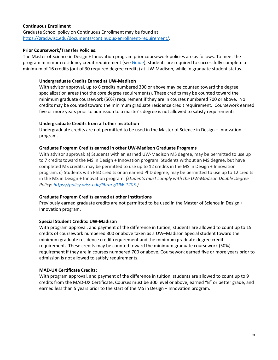#### **Continuous Enrollment**

Graduate School policy on Continuous Enrollment may be found at: [https://grad.wisc.edu/documents/continuous-enrollment-requirement/.](https://grad.wisc.edu/documents/continuous-enrollment-requirement/)

## **Prior Coursework/Transfer Policies:**

The Master of Science in Design + Innovation program prior coursework policies are as follows. To meet the program minimum residency credit requirement (se[e Guide\)](https://guide.wisc.edu/graduate/engineering-college-wide/design-plus-innovation-ms/#requirementstext), students are required to successfully complete a minimum of 16 credits (out of 30 required degree credits) at UW-Madison, while in graduate student status.

#### **Undergraduate Credits Earned at UW-Madison**

With advisor approval, up to 6 credits numbered 300 or above may be counted toward the degree specialization areas (not the core degree requirements). These credits may be counted toward the minimum graduate coursework (50%) requirement if they are in courses numbered 700 or above. No credits may be counted toward the minimum graduate residence credit requirement. Coursework earned five or more years prior to admission to a master's degree is not allowed to satisfy requirements.

## **Undergraduate Credits from all other institution**

Undergraduate credits are not permitted to be used in the Master of Science in Design + Innovation program.

#### **Graduate Program Credits earned in other UW-Madison Graduate Programs**

With advisor approval: a) Students with an earned UW-Madison MS degree, may be permitted to use up to 7 credits toward the MS in Design + Innovation program. Students without an MS degree, but have completed MS credits, may be permitted to use up to 12 credits in the MS in Design + Innovation program. c) Students with PhD credits or an earned PhD degree, may be permitted to use up to 12 credits in the MS in Design + Innovation program. *(Students must comply with the UW-Madison Double Degree Policy: [https://policy.wisc.edu/library/UW-1205.](https://policy.wisc.edu/library/UW-1205))*

#### **Graduate Program Credits earned at other Institutions**

Previously earned graduate credits are not permitted to be used in the Master of Science in Design + Innovation program.

# **Special Student Credits: UW-Madison**

With program approval, and payment of the difference in tuition, students are allowed to count up to 15 credits of coursework numbered 300 or above taken as a UW–Madison Special student toward the minimum graduate residence credit requirement and the minimum graduate degree credit requirement. These credits may be counted toward the minimum graduate coursework (50%) requirement if they are in courses numbered 700 or above. Coursework earned five or more years prior to admission is not allowed to satisfy requirements.

# **MAD-UX Certificate Credits:**

With program approval, and payment of the difference in tuition, students are allowed to count up to 9 credits from the MAD-UX Certificate. Courses must be 300 level or above, earned "B" or better grade, and earned less than 5 years prior to the start of the MS in Design + Innovation program.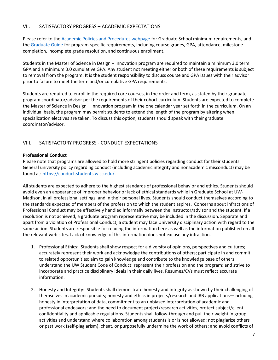# VII. SATISFACTORY PROGRESS – ACADEMIC EXPECTATIONS

Please refer to th[e Academic Policies and Procedures webpage](https://new.grad.wisc.edu/academic-policies/) for Graduate School minimum requirements, and the [Graduate Guide](http://guide.wisc.edu/graduate/) for program-specific requirements, including course grades, GPA, attendance, milestone completion, incomplete grade resolution, and continuous enrollment.

Students in the Master of Science in Design + Innovation program are required to maintain a minimum 3.0 term GPA and a minimum 3.0 cumulative GPA. Any student not meeting either or both of these requirements is subject to removal from the program. It is the student responsibility to discuss course and GPA issues with their advisor prior to failure to meet the term and/or cumulative GPA requirements.

Students are required to enroll in the required core courses, in the order and term, as stated by their graduate program coordinator/advisor per the requirements of their cohort curriculum. Students are expected to complete the Master of Science in Design + Innovation program in the one calendar year set forth in the curriculum. On an individual basis, the program may permit students to extend the length of the program by altering when specialization electives are taken. To discuss this option, students should speak with their graduate coordinator/advisor.

# VIII. SATISFACTORY PROGRESS - CONDUCT EXPECTATIONS

## **Professional Conduct**

Please note that programs are allowed to hold more stringent policies regarding conduct for their students. General university policy regarding conduct (including academic integrity and nonacademic misconduct) may be found at: [https://conduct.students.wisc.edu/.](https://conduct.students.wisc.edu/)

All students are expected to adhere to the highest standards of professional behavior and ethics. Students should avoid even an appearance of improper behavior or lack of ethical standards while in Graduate School at UW-Madison, in all professional settings, and in their personal lives. Students should conduct themselves according to the standards expected of members of the profession to which the student aspires. Concerns about infractions of Professional Conduct may be effectively handled informally between the instructor/advisor and the student. If a resolution is not achieved, a graduate program representative may be included in the discussion. Separate and apart from a violation of Professional Conduct, a student may face University disciplinary action with regard to the same action. Students are responsible for reading the information here as well as the information published on all the relevant web sites. Lack of knowledge of this information does not excuse any infraction.

- 1. Professional Ethics: Students shall show respect for a diversity of opinions, perspectives and cultures; accurately represent their work and acknowledge the contributions of others; participate in and commit to related opportunities; aim to gain knowledge and contribute to the knowledge base of others; understand the UW Student Code of Conduct; represent their profession and the program; and strive to incorporate and practice disciplinary ideals in their daily lives. Resumes/CVs must reflect accurate information.
- 2. Honesty and Integrity: Students shall demonstrate honesty and integrity as shown by their challenging of themselves in academic pursuits; honesty and ethics in projects/research and IRB applications—including honesty in interpretation of data, commitment to an unbiased interpretation of academic and professional endeavors; and the need to document project/research activities, protect subject/client confidentiality and applicable regulations. Students shall follow-through and pull their weight in group activities and understand where collaboration among students is or is not allowed; not plagiarize others or past work (self-plagiarism), cheat, or purposefully undermine the work of others; and avoid conflicts of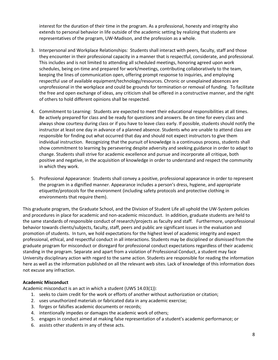interest for the duration of their time in the program. As a professional, honesty and integrity also extends to personal behavior in life outside of the academic setting by realizing that students are representatives of the program, UW-Madison, and the profession as a whole.

- 3. Interpersonal and Workplace Relationships: Students shall interact with peers, faculty, staff and those they encounter in their professional capacity in a manner that is respectful, considerate, and professional. This includes and is not limited to attending all scheduled meetings, honoring agreed upon work schedules, being on-time and prepared for work/meetings, contributing collaboratively to the team, keeping the lines of communication open, offering prompt response to inquiries, and employing respectful use of available equipment/technology/resources. Chronic or unexplained absences are unprofessional in the workplace and could be grounds for termination or removal of funding. To facilitate the free and open exchange of ideas, any criticism shall be offered in a constructive manner, and the right of others to hold different opinions shall be respected.
- 4. Commitment to Learning: Students are expected to meet their educational responsibilities at all times. Be actively prepared for class and be ready for questions and answers. Be on time for every class and always show courtesy during class or if you have to leave class early. If possible, students should notify the instructor at least one day in advance of a planned absence. Students who are unable to attend class are responsible for finding out what occurred that day and should not expect instructors to give them individual instruction. Recognizing that the pursuit of knowledge is a continuous process, students shall show commitment to learning by persevering despite adversity and seeking guidance in order to adapt to change. Students shall strive for academic excellence and pursue and incorporate all critique, both positive and negative, in the acquisition of knowledge in order to understand and respect the community in which they work.
- 5. Professional Appearance: Students shall convey a positive, professional appearance in order to represent the program in a dignified manner. Appearance includes a person's dress, hygiene, and appropriate etiquette/protocols for the environment (including safety protocols and protective clothing in environments that require them).

This graduate program, the Graduate School, and the Division of Student Life all uphold the UW-System policies and procedures in place for academic and non-academic misconduct. In addition, graduate students are held to the same standards of responsible conduct of research/projects as faculty and staff. Furthermore, unprofessional behavior towards clients/subjects, faculty, staff, peers and public are significant issues in the evaluation and promotion of students. In turn, we hold expectations for the highest level of academic integrity and expect professional, ethical, and respectful conduct in all interactions. Students may be disciplined or dismissed from the graduate program for misconduct or disregard for professional conduct expectations regardless of their academic standing in the program. Separate and apart from a violation of Professional Conduct, a student may face University disciplinary action with regard to the same action. Students are responsible for reading the information here as well as the information published on all the relevant web sites. Lack of knowledge of this information does not excuse any infraction.

# **Academic Misconduct**

Academic misconduct is an act in which a student (UWS 14.03(1)):

- 1. seeks to claim credit for the work or efforts of another without authorization or citation;
- 2. uses unauthorized materials or fabricated data in any academic exercise;
- 3. forges or falsifies academic documents or records;
- 4. intentionally impedes or damages the academic work of others;
- 5. engages in conduct aimed at making false representation of a student's academic performance; or
- 6. assists other students in any of these acts.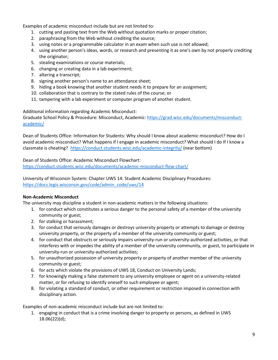Examples of academic misconduct include but are not limited to:

- 1. cutting and pasting text from the Web without quotation marks or proper citation;
- 2. paraphrasing from the Web without crediting the source;
- 3. using notes or a programmable calculator in an exam when such use is not allowed;
- 4. using another person's ideas, words, or research and presenting it as one's own by not properly crediting the originator;
- 5. stealing examinations or course materials;
- 6. changing or creating data in a lab experiment;
- 7. altering a transcript;
- 8. signing another person's name to an attendance sheet;
- 9. hiding a book knowing that another student needs it to prepare for an assignment;
- 10. collaboration that is contrary to the stated rules of the course; or
- 11. tampering with a lab experiment or computer program of another student.

Additional information regarding Academic Misconduct:

Graduate School Policy & Procedure: Misconduct, Academic: [https://grad.wisc.edu/documents/misconduct](https://grad.wisc.edu/documents/misconduct-academic/)[academic/](https://grad.wisc.edu/documents/misconduct-academic/)

Dean of Students Office: Information for Students: Why should I know about academic misconduct? How do I avoid academic misconduct? What happens if I engage in academic misconduct? What should I do If I know a classmate is cheating? <https://conduct.students.wisc.edu/academic-integrity/> (near bottom)

Dean of Students Office: Academic Misconduct Flowchart: <https://conduct.students.wisc.edu/documents/academic-misconduct-flow-chart/>

University of Wisconsin System: Chapter UWS 14: Student Academic Disciplinary Procedures: [https://docs.legis.wisconsin.gov/code/admin\\_code/uws/14](https://docs.legis.wisconsin.gov/code/admin_code/uws/14)

# **Non-Academic Misconduct**

The university may discipline a student in non-academic matters in the following situations:

- 1. for conduct which constitutes a serious danger to the personal safety of a member of the university community or guest;
- 2. for stalking or harassment;
- 3. for conduct that seriously damages or destroys university property or attempts to damage or destroy university property, or the property of a member of the university community or guest;
- 4. for conduct that obstructs or seriously impairs university-run or university-authorized activities, or that interferes with or impedes the ability of a member of the university community, or guest, to participate in university-run or university-authorized activities;
- 5. for unauthorized possession of university property or property of another member of the university community or guest;
- 6. for acts which violate the provisions of UWS 18, Conduct on University Lands;
- 7. for knowingly making a false statement to any university employee or agent on a university-related matter, or for refusing to identify oneself to such employee or agent;
- 8. for violating a standard of conduct, or other requirement or restriction imposed in connection with disciplinary action.

Examples of non-academic misconduct include but are not limited to:

1. engaging in conduct that is a crime involving danger to property or persons, as defined in UWS 18.06(22)(d);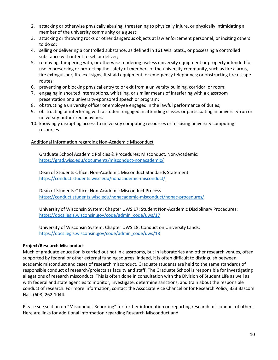- 2. attacking or otherwise physically abusing, threatening to physically injure, or physically intimidating a member of the university community or a guest;
- 3. attacking or throwing rocks or other dangerous objects at law enforcement personnel, or inciting others to do so;
- 4. selling or delivering a controlled substance, as defined in 161 Wis. Stats., or possessing a controlled substance with intent to sell or deliver;
- 5. removing, tampering with, or otherwise rendering useless university equipment or property intended for use in preserving or protecting the safety of members of the university community, such as fire alarms, fire extinguisher, fire exit signs, first aid equipment, or emergency telephones; or obstructing fire escape routes;
- 6. preventing or blocking physical entry to or exit from a university building, corridor, or room;
- 7. engaging in shouted interruptions, whistling, or similar means of interfering with a classroom presentation or a university-sponsored speech or program;
- 8. obstructing a university officer or employee engaged in the lawful performance of duties;
- 9. obstructing or interfering with a student engaged in attending classes or participating in university-run or university-authorized activities;
- 10. knowingly disrupting access to university computing resources or misusing university computing resources.

#### Additional information regarding Non-Academic Misconduct

Graduate School Academic Policies & Procedures: Misconduct, Non-Academic: <https://grad.wisc.edu/documents/misconduct-nonacademic/>

Dean of Students Office: Non-Academic Misconduct Standards Statement: <https://conduct.students.wisc.edu/nonacademic-misconduct/>

Dean of Students Office: Non-Academic Misconduct Process <https://conduct.students.wisc.edu/nonacademic-misconduct/nonac-procedures/>

University of Wisconsin System: Chapter UWS 17: Student Non-Academic Disciplinary Procedures: [https://docs.legis.wisconsin.gov/code/admin\\_code/uws/17](https://docs.legis.wisconsin.gov/code/admin_code/uws/17)

University of Wisconsin System: Chapter UWS 18: Conduct on University Lands: [https://docs.legis.wisconsin.gov/code/admin\\_code/uws/18](https://docs.legis.wisconsin.gov/code/admin_code/uws/18)

#### **Project/Research Misconduct**

Much of graduate education is carried out not in classrooms, but in laboratories and other research venues, often supported by federal or other external funding sources. Indeed, it is often difficult to distinguish between academic misconduct and cases of research misconduct. Graduate students are held to the same standards of responsible conduct of research/projects as faculty and staff. The Graduate School is responsible for investigating allegations of research misconduct. This is often done in consultation with the Division of Student Life as well as with federal and state agencies to monitor, investigate, determine sanctions, and train about the responsible conduct of research. For more information, contact the Associate Vice Chancellor for Research Policy, 333 Bascom Hall, (608) 262-1044.

Please see section on "Misconduct Reporting" for further information on reporting research misconduct of others. Here are links for additional information regarding Research Misconduct and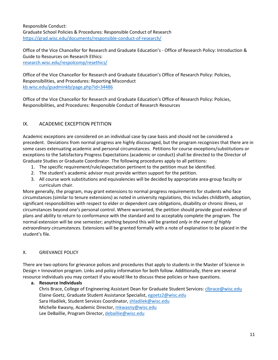Responsible Conduct: Graduate School Policies & Procedures: Responsible Conduct of Research <https://grad.wisc.edu/documents/responsible-conduct-of-research/>

Office of the Vice Chancellor for Research and Graduate Education's - Office of Research Policy: Introduction & Guide to Resources on Research Ethics: [research.wisc.edu/respolcomp/resethics/](https://research.wisc.edu/respolcomp/resethics/)

Office of the Vice Chancellor for Research and Graduate Education's Office of Research Policy: Policies, Responsibilities, and Procedures: Reporting Misconduct [kb.wisc.edu/gsadminkb/page.php?id=34486](http://kb.wisc.edu/gsadminkb/page.php?id=34486)

Office of the Vice Chancellor for Research and Graduate Education's Office of Research Policy: Policies, Responsibilities, and Procedures: Responsible Conduct of Research Resources

# IX. ACADEMIC EXCEPTION PETITION

Academic exceptions are considered on an individual case by case basis and should not be considered a precedent. Deviations from normal progress are highly discouraged, but the program recognizes that there are in some cases extenuating academic and personal circumstances. Petitions for course exceptions/substitutions or exceptions to the Satisfactory Progress Expectations (academic or conduct) shall be directed to the Director of Graduate Studies or Graduate Coordinator. The following procedures apply to all petitions:

- 1. The specific requirement/rule/expectation pertinent to the petition must be identified.
- 2. The student's academic advisor must provide written support for the petition.
- 3. All course work substitutions and equivalencies will be decided by appropriate area-group faculty or curriculum chair.

More generally, the program, may grant extensions to normal progress requirements for students who face circumstances (similar to tenure extensions) as noted in university regulations, this includes childbirth, adoption, significant responsibilities with respect to elder or dependent care obligations, disability or chronic illness, or circumstances beyond one's personal control. Where warranted, the petition should provide good evidence of plans and ability to return to conformance with the standard and to acceptably complete the program. The normal extension will be one semester; anything beyond this will be granted *only in the event of highly extraordinary circumstances.* Extensions will be granted formally with a note of explanation to be placed in the student's file.

# X. GRIEVANCE POLICY

There are two options for grievance polices and procedures that apply to students in the Master of Science in Design + Innovation program. Links and policy information for both follow. Additionally, there are several resource individuals you may contact if you would like to discuss these policies or have questions.

# **a. Resource Individuals**

Chris Brace, College of Engineering Assistant Dean for Graduate Student Services: [clbrace@wisc.edu](mailto:clbrace@wisc.edu) Elaine Goetz, Graduate Student Assistance Specialist[, egoetz2@wisc.edu](mailto:egoetz2@wisc.edu) Sara Hladilek, Student Services Coordinator, [shladilek@wisc.edu](mailto:shladilek@wisc.edu) Michelle Kwasny, Academic Director, [mkwasny@wisc.edu](mailto:mkwasny@wisc.edu) Lee DeBaillie, Program Director[, debaillie@wisc.edu](mailto:debaillie@wisc.edu)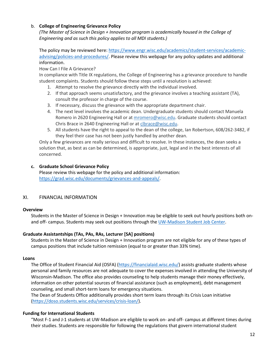## b. **College of Engineering Grievance Policy**

*(The Master of Science in Design + Innovation program is academically housed in the College of Engineering and as such this policy applies to all MDI students.)*

The policy may be reviewed here: [https://www.engr.wisc.edu/academics/student-services/academic](https://www.engr.wisc.edu/academics/student-services/academic-advising/policies-and-procedures/)[advising/policies-and-procedures/.](https://www.engr.wisc.edu/academics/student-services/academic-advising/policies-and-procedures/) Please review this webpage for any policy updates and additional information.

## How Can I File A Grievance?

In compliance with Title IX regulations, the College of Engineering has a grievance procedure to handle student complaints. Students should follow these steps until a resolution is achieved:

- 1. Attempt to resolve the grievance directly with the individual involved.
- 2. If that approach seems unsatisfactory, and the grievance involves a teaching assistant (TA), consult the professor in charge of the course.
- 3. If necessary, discuss the grievance with the appropriate department chair.
- 4. The next level involves the academic dean. Undergraduate students should contact Manuela Romero in 2620 Engineering Hall or at [mromero@wisc.edu.](mailto:romero@engr.wisc.edu?Subject=Message%20from%20the%20COE%20website) Graduate students should contact Chris Brace in 2640 Engineering Hall or at [clbrace@wisc.edu.](mailto:clbrace@wisc.edu)
- 5. All students have the right to appeal to the dean of the college, Ian Robertson, 608/262-3482, if they feel their case has not been justly handled by another dean.

Only a few grievances are really serious and difficult to resolve. In these instances, the dean seeks a solution that, as best as can be determined, is appropriate, just, legal and in the best interests of all concerned.

## **c. Graduate School Grievance Policy**

Please review this webpage for the policy and additional information: [https://grad.wisc.edu/documents/grievances-and-appeals/.](https://grad.wisc.edu/documents/grievances-and-appeals/)

# XI. FINANCIAL INFORMATION

#### **Overview**

Students in the Master of Science in Design + Innovation may be eligible to seek out hourly positions both onand off- campus. Students may seek out positions through th[e UW-Madison Student Job Center.](https://studentjobs.wisc.edu/)

# **Graduate Assistantships (TAs, PAs, RAs, Lecturer [SA] positions)**

Students in the Master of Science in Design + Innovation program are not eligible for any of these types of campus positions that include tuition remission (equal to or greater than 33% time).

#### **Loans**

The Office of Student Financial Aid (OSFA) [\(https://financialaid.wisc.edu/\)](https://financialaid.wisc.edu/) assists graduate students whose personal and family resources are not adequate to cover the expenses involved in attending the University of Wisconsin-Madison. The office also provides counseling to help students manage their money effectively, information on other potential sources of financial assistance (such as employment), debt management counseling, and small short-term loans for emergency situations.

The Dean of Students Office additionally provides short term loans through its Crisis Loan initiative [\(https://doso.students.wisc.edu/services/crisis-loan/\)](https://doso.students.wisc.edu/services/crisis-loan/).

# **Funding for International Students**

"Most F-1 and J-1 students at UW-Madison are eligible to work on- and off- campus at different times during their studies. Students are responsible for following the regulations that govern international student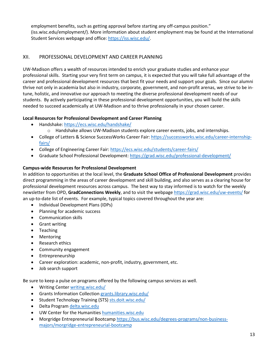employment benefits, such as getting approval before starting any off-campus position." (iss.wisc.edu/employment/). More information about student employment may be found at the International Student Services webpage and office: [https://iss.wisc.edu/.](https://iss.wisc.edu/)

# XII. PROFESSIONAL DEVELOPMENT AND CAREER PLANNING

UW-Madison offers a wealth of resources intended to enrich your graduate studies and enhance your professional skills. Starting your very first term on campus, it is expected that you will take full advantage of the career and professional development resources that best fit your needs and support your goals. Since our alumni thrive not only in academia but also in industry, corporate, government, and non-profit arenas, we strive to be intune, holistic, and innovative our approach to meeting the diverse professional development needs of our students. By actively participating in these professional development opportunities, you will build the skills needed to succeed academically at UW-Madison and to thrive professionally in your chosen career.

## **Local Resources for Professional Development and Career Planning**

- Handshake:<https://ecs.wisc.edu/handshake/>
	- $\circ$  Handshake allows UW-Madison students explore career events, jobs, and internships.
- College of Letters & Science SuccessWorks Career Fair: [https://successworks.wisc.edu/career-internship](https://successworks.wisc.edu/career-internship-fairs/)[fairs/](https://successworks.wisc.edu/career-internship-fairs/)
- College of Engineering Career Fair:<https://ecs.wisc.edu/students/career-fairs/>
- Graduate School Professional Development:<https://grad.wisc.edu/professional-development/>

# **Campus-wide Resources for Professional Development**

In addition to opportunities at the local level, the **Graduate School Office of Professional Development** provides direct programming in the areas of career development and skill building, and also serves as a clearing house for professional development resources across campus. The best way to stay informed is to watch for the weekly newsletter from OPD, **GradConnections Weekly**, and to visit the webpage<https://grad.wisc.edu/uw-events/> for an up-to-date list of events. For example, typical topics covered throughout the year are:

- Individual Development Plans (IDPs)
- Planning for academic success
- Communication skills
- Grant writing
- Teaching
- Mentoring
- Research ethics
- Community engagement
- Entrepreneurship
- Career exploration: academic, non-profit, industry, government, etc.
- Job search support

Be sure to keep a pulse on programs offered by the following campus services as well.

- Writing Center [writing.wisc.edu/](http://www.writing.wisc.edu/)
- Grants Information Collectio[n grants.library.wisc.edu/](http://grants.library.wisc.edu/)
- Student Technology Training (STS) [sts.doit.wisc.edu/](http://sts.doit.wisc.edu/)
- Delta Progra[m delta.wisc.edu](http://www.delta.wisc.edu/)
- UW Center for the Humanitie[s humanities.wisc.edu](http://humanities.wisc.edu/)
- Morgridge Entrepreneurial Bootcamp [https://bus.wisc.edu/degrees-programs/non-business](https://bus.wisc.edu/degrees-programs/non-business-majors/morgridge-entrepreneurial-bootcamp)[majors/morgridge-entrepreneurial-bootcamp](https://bus.wisc.edu/degrees-programs/non-business-majors/morgridge-entrepreneurial-bootcamp)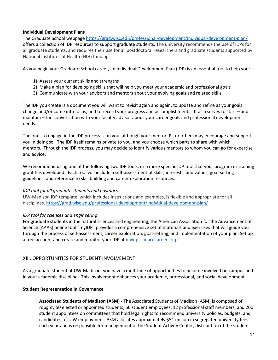#### **Individual Development Plans**

The Graduate School webpage<https://grad.wisc.edu/professional-development/individual-development-plan/> offers a collection of IDP resources to support graduate students. The university recommends the use of IDPs for all graduate students, and requires their use for all postdoctoral researchers and graduate students supported by National Institutes of Health (NIH) funding.

As you begin your Graduate School career, an Individual Development Plan (IDP) is an essential tool to help you:

- 1) Assess your current skills and strengths
- 2) Make a plan for developing skills that will help you meet your academic and professional goals
- 3) Communicate with your advisors and mentors about your evolving goals and related skills.

The IDP you create is a document you will want to revisit again and again, to update and refine as your goals change and/or come into focus, and to record your progress and accomplishments. It also serves to start – and maintain – the conversation with your faculty advisor about your career goals and professional development needs.

The onus to engage in the IDP process is on you, although your mentor, PI, or others may encourage and support you in doing so. The IDP itself remains private to you, and you choose which parts to share with which mentors. Through the IDP process, you may decide to identify various mentors to whom you can go for expertise and advice.

We recommend using one of the following two IDP tools, or a more specific IDP tool that your program or training grant has developed. Each tool will include a self-assessment of skills, interests, and values; goal-setting guidelines; and reference to skill building and career exploration resources.

#### *IDP tool for all graduate students and postdocs*

UW-Madison IDP template, which includes instructions and examples, is flexible and appropriate for all disciplines.<https://grad.wisc.edu/professional-development/individual-development-plan/>

#### *IDP tool for sciences and engineering*

For graduate students in the natural sciences and engineering, the American Association for the Advancement of Science (AAAS) online tool "myIDP" provides a comprehensive set of materials and exercises that will guide you through the process of self-assessment, career exploration, goal-setting, and implementation of your plan. Set up a free account and create and monitor your IDP at [myidp.sciencecareers.org.](http://myidp.sciencecareers.org/)

# XIII. OPPORTUNITIES FOR STUDENT INVOLVEMENT

As a graduate student at UW-Madison, you have a multitude of opportunities to become involved on campus and in your academic discipline. This involvement enhances your academic, professional, and social development.

#### **Student Representation in Governance**

**Associated Students of Madison (ASM) -** The Associated Students of Madison (ASM) is composed of roughly 50 elected or appointed students, 50 student employees, 12 professional staff members, and 200 student appointees on committees that hold legal rights to recommend university policies, budgets, and candidates for UW employment. ASM allocates approximately \$51 million in segregated university fees each year and is responsible for management of the Student Activity Center, distribution of the student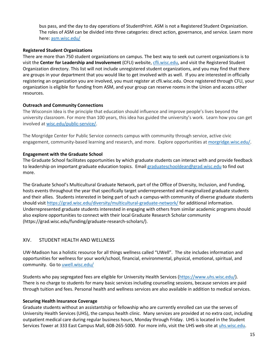bus pass, and the day to day operations of StudentPrint. ASM is not a Registered Student Organization. The roles of ASM can be divided into three categories: direct action, governance, and service. Learn more here[: asm.wisc.edu/](http://www.asm.wisc.edu/)

#### **Registered Student Organizations**

There are more than 750 student organizations on campus. The best way to seek out current organizations is to visit the **Center for Leadership and Involvement** (CFLI) website, [cfli.wisc.edu,](http://www.cfli.wisc.edu/) and visit the Registered Student Organization directory. This list will not include unregistered student organizations, and you may find that there are groups in your department that you would like to get involved with as well. If you are interested in officially registering an organization you are involved, you must register at cfli.wisc.edu. Once registered through CFLI, your organization is eligible for funding from ASM, and your group can reserve rooms in the Union and access other resources.

#### **Outreach and Community Connections**

The Wisconsin Idea is the principle that education should influence and improve people's lives beyond the university classroom. For more than 100 years, this idea has guided the university's work. Learn how you can get involved at [wisc.edu/public-service/.](http://www.wisc.edu/public-service/)

The Morgridge Center for Public Service connects campus with community through service, active civic engagement, community-based learning and research, and more. Explore opportunities a[t morgridge.wisc.edu/.](http://www.morgridge.wisc.edu/)

#### **Engagement with the Graduate School**

The Graduate School facilitates opportunities by which graduate students can interact with and provide feedback to leadership on important graduate education topics. Emai[l graduateschooldean@grad.wisc.edu](mailto:graduateschooldean@grad.wisc.edu) to find out more.

The Graduate School's Multicultural Graduate Network, part of the Office of Diversity, Inclusion, and Funding, hosts events throughout the year that specifically target underrepresented and marginalized graduate students and their allies. Students interested in being part of such a campus-with community of diverse graduate students should visit<https://grad.wisc.edu/diversity/multicultural-graduate-network/> for additional information. Underrepresented graduate students interested in engaging with others from similar academic programs should also explore opportunities to connect with their local Graduate Research Scholar community (https://grad.wisc.edu/funding/graduate-research-scholars/).

## XIV. STUDENT HEALTH AND WELLNESS

UW-Madison has a holistic resource for all things wellness called "UWell". The site includes information and opportunities for wellness for your work/school, financial, environmental, physical, emotional, spiritual, and community. Go to [uwell.wisc.edu/](http://uwell.wisc.edu/)

Students who pay segregated fees are eligible for University Health Services [\(https://www.uhs.wisc.edu/\)](https://www.uhs.wisc.edu/). There is no charge to students for many basic services including counseling sessions, because services are paid through tuition and fees. Personal health and wellness services are also available in addition to medical services.

#### **Securing Health Insurance Coverage**

Graduate students without an assistantship or fellowship who are currently enrolled can use the serves of University Health Services (UHS), the campus health clinic. Many services are provided at no extra cost, including outpatient medical care during regular business hours, Monday through Friday. UHS is located in the Student Services Tower at 333 East Campus Mall, 608-265-5000. For more info, visit the UHS web site at [uhs.wisc.edu.](http://www.uhs.wisc.edu/)